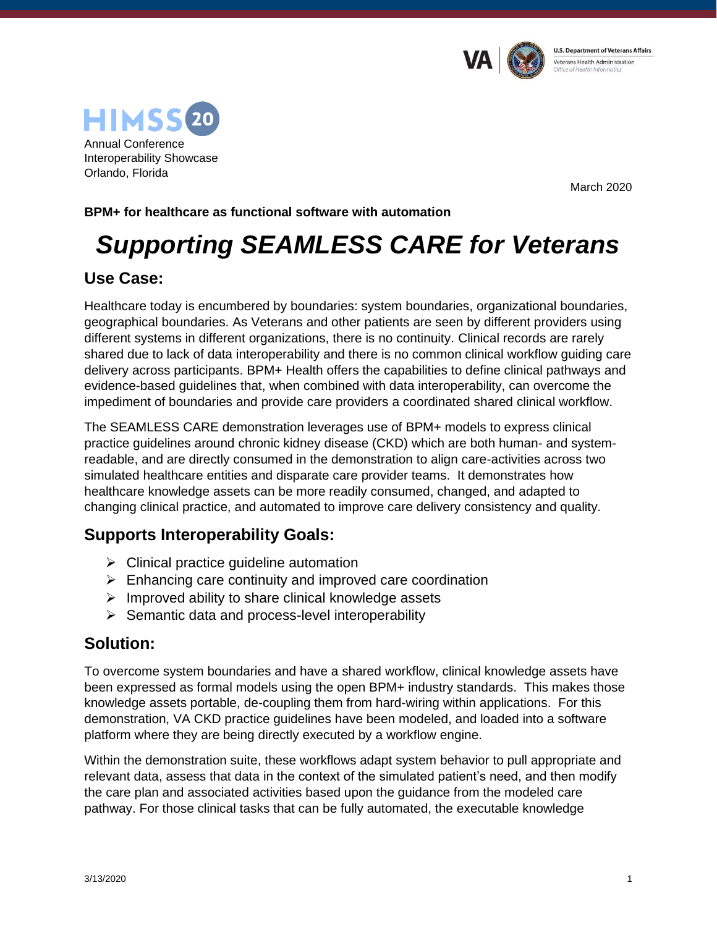



March 2020

#### **BPM+ for healthcare as functional software with automation**

# *Supporting SEAMLESS CARE for Veterans*

#### **Use Case:**

Healthcare today is encumbered by boundaries: system boundaries, organizational boundaries, geographical boundaries. As Veterans and other patients are seen by different providers using different systems in different organizations, there is no continuity. Clinical records are rarely shared due to lack of data interoperability and there is no common clinical workflow guiding care delivery across participants. BPM+ Health offers the capabilities to define clinical pathways and evidence-based guidelines that, when combined with data interoperability, can overcome the impediment of boundaries and provide care providers a coordinated shared clinical workflow.

The SEAMLESS CARE demonstration leverages use of BPM+ models to express clinical practice guidelines around chronic kidney disease (CKD) which are both human- and systemreadable, and are directly consumed in the demonstration to align care-activities across two simulated healthcare entities and disparate care provider teams. It demonstrates how healthcare knowledge assets can be more readily consumed, changed, and adapted to changing clinical practice, and automated to improve care delivery consistency and quality.

# **Supports Interoperability Goals:**

- $\triangleright$  Clinical practice quideline automation
- ➢ Enhancing care continuity and improved care coordination
- $\triangleright$  Improved ability to share clinical knowledge assets
- ➢ Semantic data and process-level interoperability

# **Solution:**

To overcome system boundaries and have a shared workflow, clinical knowledge assets have been expressed as formal models using the open BPM+ industry standards. This makes those knowledge assets portable, de-coupling them from hard-wiring within applications. For this demonstration, VA CKD practice guidelines have been modeled, and loaded into a software platform where they are being directly executed by a workflow engine.

Within the demonstration suite, these workflows adapt system behavior to pull appropriate and relevant data, assess that data in the context of the simulated patient's need, and then modify the care plan and associated activities based upon the guidance from the modeled care pathway. For those clinical tasks that can be fully automated, the executable knowledge